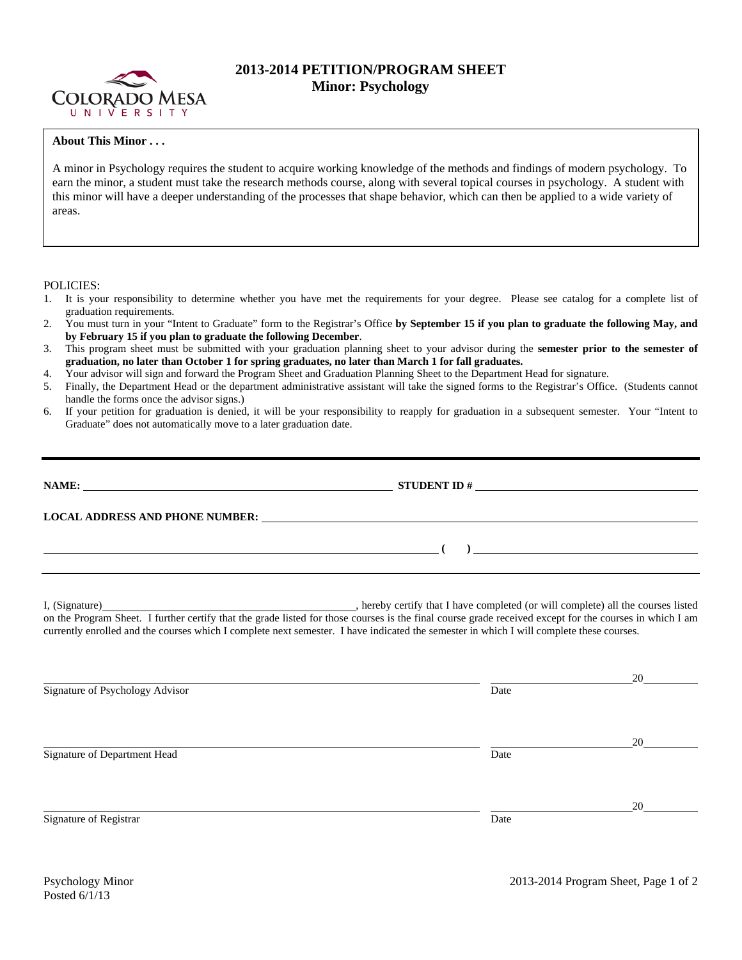

## **2013-2014 PETITION/PROGRAM SHEET Minor: Psychology**

## **About This Minor . . .**

A minor in Psychology requires the student to acquire working knowledge of the methods and findings of modern psychology. To earn the minor, a student must take the research methods course, along with several topical courses in psychology. A student with this minor will have a deeper understanding of the processes that shape behavior, which can then be applied to a wide variety of areas.

POLICIES:

- 1. It is your responsibility to determine whether you have met the requirements for your degree. Please see catalog for a complete list of graduation requirements.
- 2. You must turn in your "Intent to Graduate" form to the Registrar's Office **by September 15 if you plan to graduate the following May, and by February 15 if you plan to graduate the following December**.
- 3. This program sheet must be submitted with your graduation planning sheet to your advisor during the **semester prior to the semester of graduation, no later than October 1 for spring graduates, no later than March 1 for fall graduates.**
- 4. Your advisor will sign and forward the Program Sheet and Graduation Planning Sheet to the Department Head for signature.
- 5. Finally, the Department Head or the department administrative assistant will take the signed forms to the Registrar's Office. (Students cannot handle the forms once the advisor signs.)
- 6. If your petition for graduation is denied, it will be your responsibility to reapply for graduation in a subsequent semester. Your "Intent to Graduate" does not automatically move to a later graduation date.

| <u> 1990 - Jan James James James James James James James James James James James James James James James James Ja</u> | ) and the contract of the contract of $\mathcal{L}$                            |  |  |  |
|-----------------------------------------------------------------------------------------------------------------------|--------------------------------------------------------------------------------|--|--|--|
|                                                                                                                       | hereby certify that I have completed (or will complete) all the courses listed |  |  |  |

on the Program Sheet. I further certify that the grade listed for those courses is the final course grade received except for the courses in which I am currently enrolled and the courses which I complete next semester. I have indicated the semester in which I will complete these courses.

|      | 20 |
|------|----|
| Date |    |
|      |    |
|      | 20 |
| Date |    |
|      | 20 |
| Date |    |
|      |    |